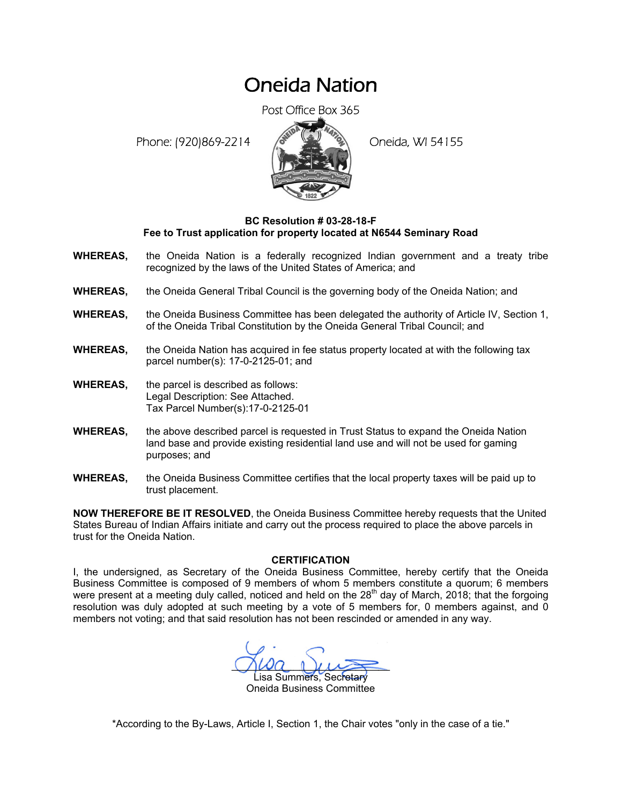## Oneida Nation

Post Office Box 365

Phone: (920)869-2214 (8 22 3) Oneida, WI 54155



## **BC Resolution # 03-28-18-F Fee to Trust application for property located at N6544 Seminary Road**

- **WHEREAS,** the Oneida Nation is a federally recognized Indian government and a treaty tribe recognized by the laws of the United States of America; and
- **WHEREAS,** the Oneida General Tribal Council is the governing body of the Oneida Nation; and
- **WHEREAS,** the Oneida Business Committee has been delegated the authority of Article IV, Section 1, of the Oneida Tribal Constitution by the Oneida General Tribal Council; and
- **WHEREAS,** the Oneida Nation has acquired in fee status property located at with the following tax parcel number(s): 17-0-2125-01; and
- **WHEREAS,** the parcel is described as follows: Legal Description: See Attached. Tax Parcel Number(s):17-0-2125-01
- **WHEREAS,** the above described parcel is requested in Trust Status to expand the Oneida Nation land base and provide existing residential land use and will not be used for gaming purposes; and
- **WHEREAS,** the Oneida Business Committee certifies that the local property taxes will be paid up to trust placement.

**NOW THEREFORE BE IT RESOLVED**, the Oneida Business Committee hereby requests that the United States Bureau of Indian Affairs initiate and carry out the process required to place the above parcels in trust for the Oneida Nation.

## **CERTIFICATION**

I, the undersigned, as Secretary of the Oneida Business Committee, hereby certify that the Oneida Business Committee is composed of 9 members of whom 5 members constitute a quorum; 6 members were present at a meeting duly called, noticed and held on the  $28<sup>th</sup>$  day of March, 2018; that the forgoing resolution was duly adopted at such meeting by a vote of 5 members for, 0 members against, and 0 members not voting; and that said resolution has not been rescinded or amended in any way.

 $M^2$ isa Summers, Secretary Oneida Business Committee

\*According to the By-Laws, Article I, Section 1, the Chair votes "only in the case of a tie."